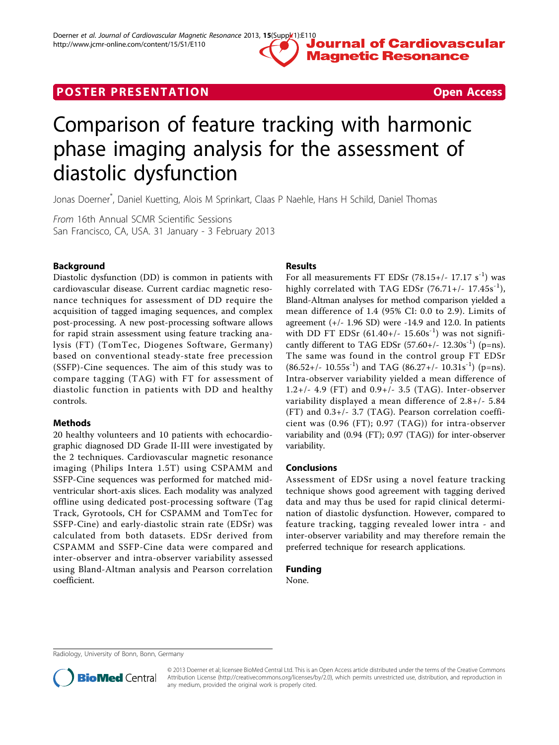

## **POSTER PRESENTATION CONSUMING THE SECOND CONSUMING THE SECOND CONSUMING THE SECOND CONSUMING THE SECOND CONSUMING THE SECOND CONSUMING THE SECOND CONSUMING THE SECOND CONSUMING THE SECOND CONSUMING THE SECOND CONSUMING**

# Comparison of feature tracking with harmonic phase imaging analysis for the assessment of diastolic dysfunction

Jonas Doerner\* , Daniel Kuetting, Alois M Sprinkart, Claas P Naehle, Hans H Schild, Daniel Thomas

From 16th Annual SCMR Scientific Sessions San Francisco, CA, USA. 31 January - 3 February 2013

#### Background

Diastolic dysfunction (DD) is common in patients with cardiovascular disease. Current cardiac magnetic resonance techniques for assessment of DD require the acquisition of tagged imaging sequences, and complex post-processing. A new post-processing software allows for rapid strain assessment using feature tracking analysis (FT) (TomTec, Diogenes Software, Germany) based on conventional steady-state free precession (SSFP)-Cine sequences. The aim of this study was to compare tagging (TAG) with FT for assessment of diastolic function in patients with DD and healthy controls.

#### Methods

20 healthy volunteers and 10 patients with echocardiographic diagnosed DD Grade II-III were investigated by the 2 techniques. Cardiovascular magnetic resonance imaging (Philips Intera 1.5T) using CSPAMM and SSFP-Cine sequences was performed for matched midventricular short-axis slices. Each modality was analyzed offline using dedicated post-processing software (Tag Track, Gyrotools, CH for CSPAMM and TomTec for SSFP-Cine) and early-diastolic strain rate (EDSr) was calculated from both datasets. EDSr derived from CSPAMM and SSFP-Cine data were compared and inter-observer and intra-observer variability assessed using Bland-Altman analysis and Pearson correlation coefficient.

#### Results

For all measurements FT EDSr  $(78.15+/- 17.17 \text{ s}^{-1})$  was highly correlated with TAG EDSr  $(76.71+/- 17.45s^{-1})$ , Bland-Altman analyses for method comparison yielded a mean difference of 1.4 (95% CI: 0.0 to 2.9). Limits of agreement  $(+/- 1.96$  SD) were  $-14.9$  and 12.0. In patients with DD FT EDSr  $(61.40+/- 15.60s^{-1})$  was not significantly different to TAG EDSr  $(57.60+/- 12.30s^{-1})$  (p=ns). The same was found in the control group FT EDSr  $(86.52+/- 10.55s^{-1})$  and TAG  $(86.27+/- 10.31s^{-1})$  (p=ns). Intra-observer variability yielded a mean difference of 1.2+/- 4.9 (FT) and 0.9+/- 3.5 (TAG). Inter-observer variability displayed a mean difference of 2.8+/- 5.84 (FT) and 0.3+/- 3.7 (TAG). Pearson correlation coefficient was (0.96 (FT); 0.97 (TAG)) for intra-observer variability and (0.94 (FT); 0.97 (TAG)) for inter-observer variability.

#### Conclusions

Assessment of EDSr using a novel feature tracking technique shows good agreement with tagging derived data and may thus be used for rapid clinical determination of diastolic dysfunction. However, compared to feature tracking, tagging revealed lower intra - and inter-observer variability and may therefore remain the preferred technique for research applications.

### Funding

None.

Radiology, University of Bonn, Bonn, Germany



<sup>© 2013</sup> Doerner et al; licensee BioMed Central Ltd. This is an Open Access article distributed under the terms of the Creative Commons Attribution License [\(http://creativecommons.org/licenses/by/2.0](http://creativecommons.org/licenses/by/2.0)), which permits unrestricted use, distribution, and reproduction in any medium, provided the original work is properly cited.